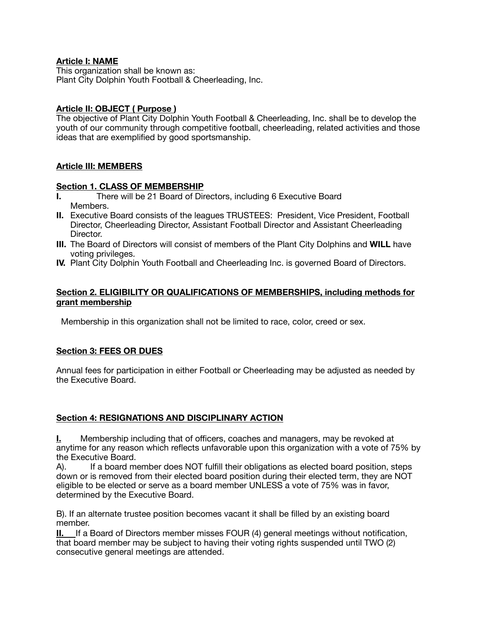#### **Article I: NAME**

This organization shall be known as: Plant City Dolphin Youth Football & Cheerleading, Inc.

#### **Article II: OBJECT ( Purpose )**

The objective of Plant City Dolphin Youth Football & Cheerleading, Inc. shall be to develop the youth of our community through competitive football, cheerleading, related activities and those ideas that are exemplified by good sportsmanship.

# **Article III: MEMBERS**

#### **Section 1. CLASS OF MEMBERSHIP**

- **I.** There will be 21 Board of Directors, including 6 Executive Board Members.
- **II.** Executive Board consists of the leagues TRUSTEES: President, Vice President, Football Director, Cheerleading Director, Assistant Football Director and Assistant Cheerleading Director.
- **III.** The Board of Directors will consist of members of the Plant City Dolphins and **WILL** have voting privileges.
- **IV.** Plant City Dolphin Youth Football and Cheerleading Inc. is governed Board of Directors.

#### **Section 2. ELIGIBILITY OR QUALIFICATIONS OF MEMBERSHIPS, including methods for grant membership**

Membership in this organization shall not be limited to race, color, creed or sex.

# **Section 3: FEES OR DUES**

Annual fees for participation in either Football or Cheerleading may be adjusted as needed by the Executive Board.

# **Section 4: RESIGNATIONS AND DISCIPLINARY ACTION**

**I.** Membership including that of officers, coaches and managers, may be revoked at anytime for any reason which reflects unfavorable upon this organization with a vote of 75% by the Executive Board.

A). If a board member does NOT fulfill their obligations as elected board position, steps down or is removed from their elected board position during their elected term, they are NOT eligible to be elected or serve as a board member UNLESS a vote of 75% was in favor, determined by the Executive Board.

B). If an alternate trustee position becomes vacant it shall be filled by an existing board member.

**II.** If a Board of Directors member misses FOUR (4) general meetings without notification, that board member may be subject to having their voting rights suspended until TWO (2) consecutive general meetings are attended.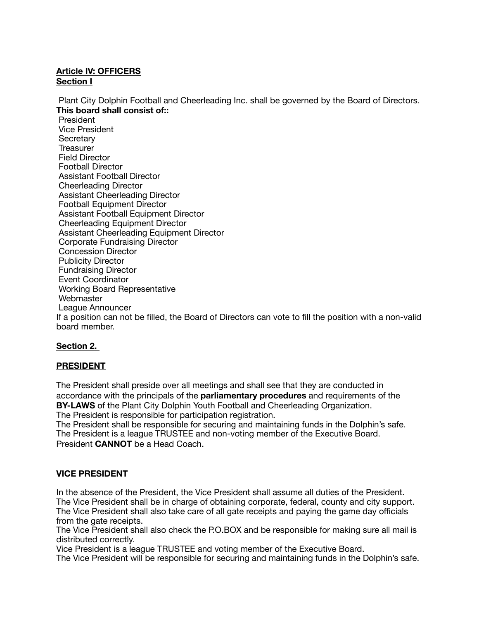# **Article IV: OFFICERS Section I**

 Plant City Dolphin Football and Cheerleading Inc. shall be governed by the Board of Directors. **This board shall consist of::**

 President Vice President **Secretary Treasurer**  Field Director Football Director Assistant Football Director Cheerleading Director Assistant Cheerleading Director Football Equipment Director Assistant Football Equipment Director Cheerleading Equipment Director Assistant Cheerleading Equipment Director Corporate Fundraising Director Concession Director Publicity Director Fundraising Director Event Coordinator Working Board Representative **Webmaster**  League Announcer If a position can not be filled, the Board of Directors can vote to fill the position with a non-valid board member.

# **Section 2.**

# **PRESIDENT**

The President shall preside over all meetings and shall see that they are conducted in accordance with the principals of the **parliamentary procedures** and requirements of the **BY-LAWS** of the Plant City Dolphin Youth Football and Cheerleading Organization. The President is responsible for participation registration.

The President shall be responsible for securing and maintaining funds in the Dolphin's safe. The President is a league TRUSTEE and non-voting member of the Executive Board. President **CANNOT** be a Head Coach.

# **VICE PRESIDENT**

In the absence of the President, the Vice President shall assume all duties of the President. The Vice President shall be in charge of obtaining corporate, federal, county and city support. The Vice President shall also take care of all gate receipts and paying the game day officials from the gate receipts.

The Vice President shall also check the P.O.BOX and be responsible for making sure all mail is distributed correctly.

Vice President is a league TRUSTEE and voting member of the Executive Board.

The Vice President will be responsible for securing and maintaining funds in the Dolphin's safe.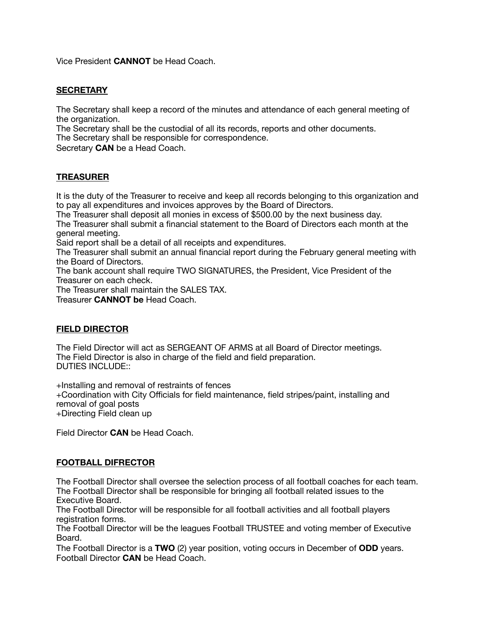Vice President **CANNOT** be Head Coach.

#### **SECRETARY**

The Secretary shall keep a record of the minutes and attendance of each general meeting of the organization.

The Secretary shall be the custodial of all its records, reports and other documents.

The Secretary shall be responsible for correspondence.

Secretary **CAN** be a Head Coach.

# **TREASURER**

It is the duty of the Treasurer to receive and keep all records belonging to this organization and to pay all expenditures and invoices approves by the Board of Directors.

The Treasurer shall deposit all monies in excess of \$500.00 by the next business day.

The Treasurer shall submit a financial statement to the Board of Directors each month at the general meeting.

Said report shall be a detail of all receipts and expenditures.

The Treasurer shall submit an annual financial report during the February general meeting with the Board of Directors.

The bank account shall require TWO SIGNATURES, the President, Vice President of the Treasurer on each check.

The Treasurer shall maintain the SALES TAX.

Treasurer **CANNOT be** Head Coach.

#### **FIELD DIRECTOR**

The Field Director will act as SERGEANT OF ARMS at all Board of Director meetings. The Field Director is also in charge of the field and field preparation. DUTIES INCLUDE::

+Installing and removal of restraints of fences

+Coordination with City Officials for field maintenance, field stripes/paint, installing and removal of goal posts

+Directing Field clean up

Field Director **CAN** be Head Coach.

#### **FOOTBALL DIFRECTOR**

The Football Director shall oversee the selection process of all football coaches for each team. The Football Director shall be responsible for bringing all football related issues to the Executive Board.

The Football Director will be responsible for all football activities and all football players registration forms.

The Football Director will be the leagues Football TRUSTEE and voting member of Executive Board.

The Football Director is a **TWO** (2) year position, voting occurs in December of **ODD** years. Football Director **CAN** be Head Coach.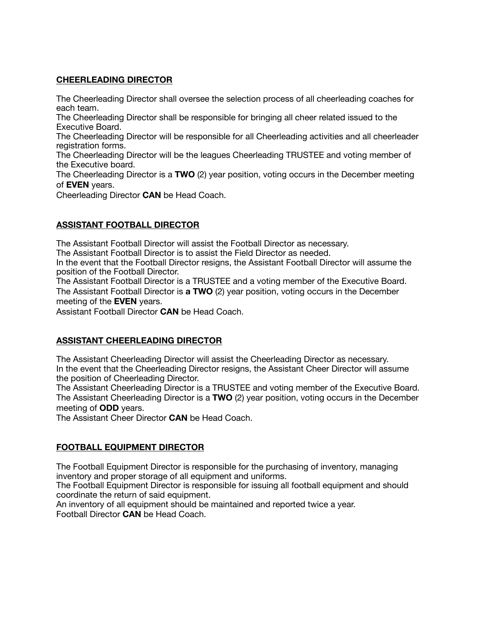# **CHEERLEADING DIRECTOR**

The Cheerleading Director shall oversee the selection process of all cheerleading coaches for each team.

The Cheerleading Director shall be responsible for bringing all cheer related issued to the Executive Board.

The Cheerleading Director will be responsible for all Cheerleading activities and all cheerleader registration forms.

The Cheerleading Director will be the leagues Cheerleading TRUSTEE and voting member of the Executive board.

The Cheerleading Director is a **TWO** (2) year position, voting occurs in the December meeting of **EVEN** years.

Cheerleading Director **CAN** be Head Coach.

# **ASSISTANT FOOTBALL DIRECTOR**

The Assistant Football Director will assist the Football Director as necessary.

The Assistant Football Director is to assist the Field Director as needed.

In the event that the Football Director resigns, the Assistant Football Director will assume the position of the Football Director.

The Assistant Football Director is a TRUSTEE and a voting member of the Executive Board. The Assistant Football Director is **a TWO** (2) year position, voting occurs in the December meeting of the **EVEN** years.

Assistant Football Director **CAN** be Head Coach.

# **ASSISTANT CHEERLEADING DIRECTOR**

The Assistant Cheerleading Director will assist the Cheerleading Director as necessary. In the event that the Cheerleading Director resigns, the Assistant Cheer Director will assume the position of Cheerleading Director.

The Assistant Cheerleading Director is a TRUSTEE and voting member of the Executive Board. The Assistant Cheerleading Director is a **TWO** (2) year position, voting occurs in the December meeting of **ODD** years.

The Assistant Cheer Director **CAN** be Head Coach.

# **FOOTBALL EQUIPMENT DIRECTOR**

The Football Equipment Director is responsible for the purchasing of inventory, managing inventory and proper storage of all equipment and uniforms.

The Football Equipment Director is responsible for issuing all football equipment and should coordinate the return of said equipment.

An inventory of all equipment should be maintained and reported twice a year. Football Director **CAN** be Head Coach.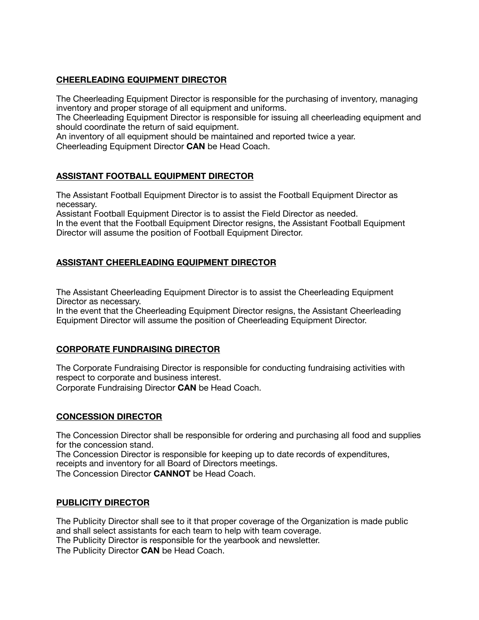# **CHEERLEADING EQUIPMENT DIRECTOR**

The Cheerleading Equipment Director is responsible for the purchasing of inventory, managing inventory and proper storage of all equipment and uniforms.

The Cheerleading Equipment Director is responsible for issuing all cheerleading equipment and should coordinate the return of said equipment.

An inventory of all equipment should be maintained and reported twice a year.

Cheerleading Equipment Director **CAN** be Head Coach.

# **ASSISTANT FOOTBALL EQUIPMENT DIRECTOR**

The Assistant Football Equipment Director is to assist the Football Equipment Director as necessary.

Assistant Football Equipment Director is to assist the Field Director as needed. In the event that the Football Equipment Director resigns, the Assistant Football Equipment

Director will assume the position of Football Equipment Director.

# **ASSISTANT CHEERLEADING EQUIPMENT DIRECTOR**

The Assistant Cheerleading Equipment Director is to assist the Cheerleading Equipment Director as necessary.

In the event that the Cheerleading Equipment Director resigns, the Assistant Cheerleading Equipment Director will assume the position of Cheerleading Equipment Director.

# **CORPORATE FUNDRAISING DIRECTOR**

The Corporate Fundraising Director is responsible for conducting fundraising activities with respect to corporate and business interest. Corporate Fundraising Director **CAN** be Head Coach.

# **CONCESSION DIRECTOR**

The Concession Director shall be responsible for ordering and purchasing all food and supplies for the concession stand.

The Concession Director is responsible for keeping up to date records of expenditures, receipts and inventory for all Board of Directors meetings.

The Concession Director **CANNOT** be Head Coach.

#### **PUBLICITY DIRECTOR**

The Publicity Director shall see to it that proper coverage of the Organization is made public and shall select assistants for each team to help with team coverage. The Publicity Director is responsible for the yearbook and newsletter. The Publicity Director **CAN** be Head Coach.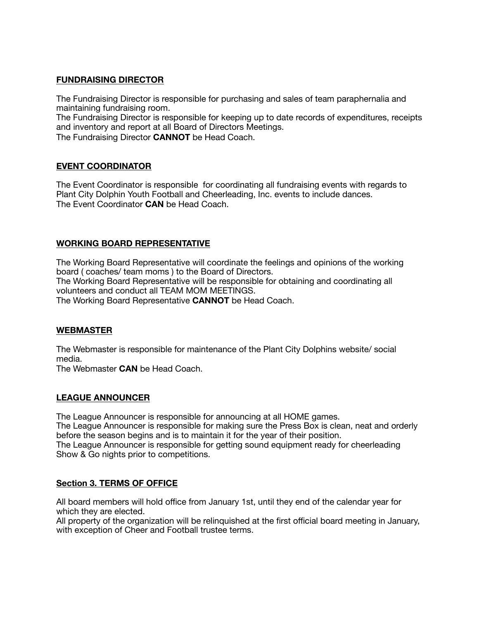# **FUNDRAISING DIRECTOR**

The Fundraising Director is responsible for purchasing and sales of team paraphernalia and maintaining fundraising room. The Fundraising Director is responsible for keeping up to date records of expenditures, receipts and inventory and report at all Board of Directors Meetings.

The Fundraising Director **CANNOT** be Head Coach.

# **EVENT COORDINATOR**

The Event Coordinator is responsible for coordinating all fundraising events with regards to Plant City Dolphin Youth Football and Cheerleading, Inc. events to include dances. The Event Coordinator **CAN** be Head Coach.

# **WORKING BOARD REPRESENTATIVE**

The Working Board Representative will coordinate the feelings and opinions of the working board ( coaches/ team moms ) to the Board of Directors. The Working Board Representative will be responsible for obtaining and coordinating all volunteers and conduct all TEAM MOM MEETINGS. The Working Board Representative **CANNOT** be Head Coach.

#### **WEBMASTER**

The Webmaster is responsible for maintenance of the Plant City Dolphins website/ social media.

The Webmaster **CAN** be Head Coach.

#### **LEAGUE ANNOUNCER**

The League Announcer is responsible for announcing at all HOME games. The League Announcer is responsible for making sure the Press Box is clean, neat and orderly before the season begins and is to maintain it for the year of their position. The League Announcer is responsible for getting sound equipment ready for cheerleading Show & Go nights prior to competitions.

# **Section 3. TERMS OF OFFICE**

All board members will hold office from January 1st, until they end of the calendar year for which they are elected.

All property of the organization will be relinquished at the first official board meeting in January, with exception of Cheer and Football trustee terms.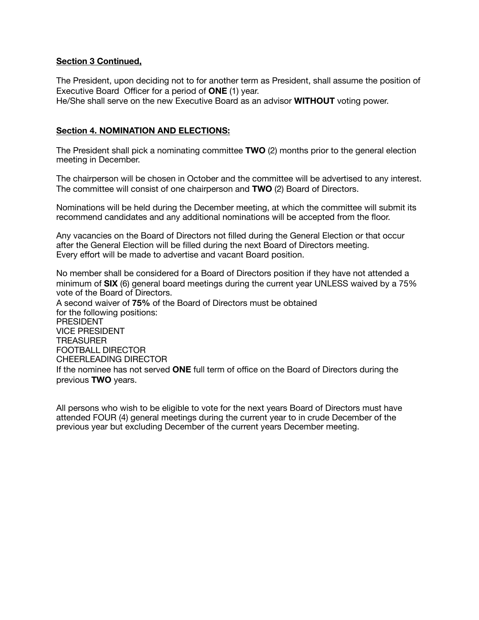#### **Section 3 Continued,**

The President, upon deciding not to for another term as President, shall assume the position of Executive Board Officer for a period of **ONE** (1) year.

He/She shall serve on the new Executive Board as an advisor **WITHOUT** voting power.

#### **Section 4. NOMINATION AND ELECTIONS:**

The President shall pick a nominating committee **TWO** (2) months prior to the general election meeting in December.

The chairperson will be chosen in October and the committee will be advertised to any interest. The committee will consist of one chairperson and **TWO** (2) Board of Directors.

Nominations will be held during the December meeting, at which the committee will submit its recommend candidates and any additional nominations will be accepted from the floor.

Any vacancies on the Board of Directors not filled during the General Election or that occur after the General Election will be filled during the next Board of Directors meeting. Every effort will be made to advertise and vacant Board position.

No member shall be considered for a Board of Directors position if they have not attended a minimum of **SIX** (6) general board meetings during the current year UNLESS waived by a 75% vote of the Board of Directors.

A second waiver of **75%** of the Board of Directors must be obtained for the following positions: PRESIDENT VICE PRESIDENT **TREASURER** FOOTBALL DIRECTOR CHEERLEADING DIRECTOR If the nominee has not served **ONE** full term of office on the Board of Directors during the previous **TWO** years.

All persons who wish to be eligible to vote for the next years Board of Directors must have attended FOUR (4) general meetings during the current year to in crude December of the previous year but excluding December of the current years December meeting.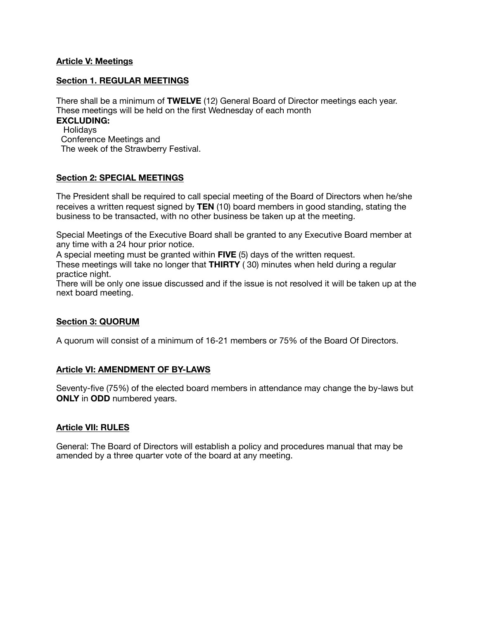#### **Article V: Meetings**

#### **Section 1. REGULAR MEETINGS**

There shall be a minimum of **TWELVE** (12) General Board of Director meetings each year. These meetings will be held on the first Wednesday of each month

#### **EXCLUDING:**

**Holidays**  Conference Meetings and The week of the Strawberry Festival.

#### **Section 2: SPECIAL MEETINGS**

The President shall be required to call special meeting of the Board of Directors when he/she receives a written request signed by **TEN** (10) board members in good standing, stating the business to be transacted, with no other business be taken up at the meeting.

Special Meetings of the Executive Board shall be granted to any Executive Board member at any time with a 24 hour prior notice.

A special meeting must be granted within **FIVE** (5) days of the written request.

These meetings will take no longer that **THIRTY** ( 30) minutes when held during a regular practice night.

There will be only one issue discussed and if the issue is not resolved it will be taken up at the next board meeting.

#### **Section 3: QUORUM**

A quorum will consist of a minimum of 16-21 members or 75% of the Board Of Directors.

# **Article VI: AMENDMENT OF BY-LAWS**

Seventy-five (75%) of the elected board members in attendance may change the by-laws but **ONLY** in **ODD** numbered years.

#### **Article VII: RULES**

General: The Board of Directors will establish a policy and procedures manual that may be amended by a three quarter vote of the board at any meeting.